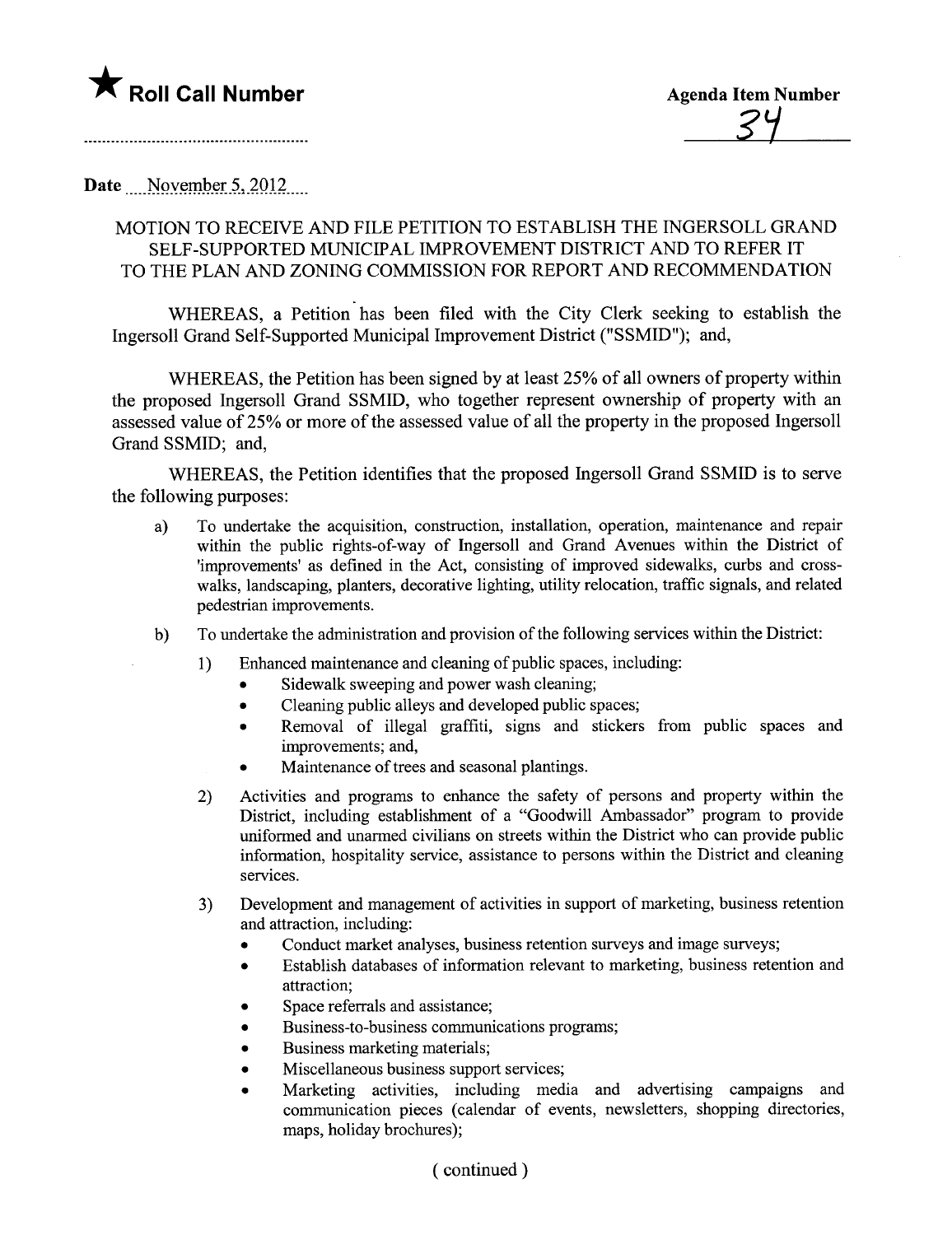

Date November  $5,2012$ 

## MOTION TO RECEIVE AND FILE PETITION TO ESTABLISH THE INGERSOLL GRAND SELF -SUPPORTED MUNICIPAL IMPROVEMENT DISTRICT AND TO REFER IT TO THE PLAN AND ZONING COMMISSION FOR REPORT AND RECOMMENDATION

WHEREAS, a Petition has been filed with the City Clerk seeking to establish the Ingersoll Grand Self-Supported Municipal Improvement District ("SSMID"); and,

WHEREAS, the Petition has been signed by at least 25% of all owners of property within the proposed Ingersoll Grand SSMID, who together represent ownership of property with an assessed value of 25% or more of the assessed value of all the property in the proposed Ingersoll Grand SSMID; and,

WHEREAS, the Petition identifies that the proposed Ingersoll Grand SSMID is to serve the following purposes:

- a) To undertake the acquisition, construction, installation, operation, maintenance and repair within the public rights-of-way of Ingersoll and Grand Avenues within the District of 'improvements' as defined in the Act, consisting of improved sidewalks, curbs and crosswalks, landscaping, planters, decorative lighting, utility relocation, traffic signals, and related pedestrian improvements.
- b) To undertake the administration and provision of the following services within the District:
	- l) Enhanced maintenance and cleaning of public spaces, including:
		- . Sidewalk sweeping and power wash cleaning;
		- . Cleaning public alleys and developed public spaces;
		- . Removal of ilegal graffti, signs and stickers from public spaces and improvements; and,
		- . Maintenance of trees and seasonal plantings.
	- 2) Activities and programs to enhance the safety of persons and property within the District, including establishment of a "Goodwil Ambassador" program to provide uniformed and unarmed civilans on streets within the District who can provide public information, hospitality service, assistance to persons within the District and cleaning services.
	- 3) Development and management of activities in support of marketing, business retention and attraction, including:
		- . Conduct market analyses, business retention surveys and image surveys;
		- . Establish databases of information relevant to marketing, business retention and attraction;
		- . Space referrals and assistance;
		- . Business-to-business communications programs;
		- . Business marketing materials;
		- . Miscellaneous business support services;
		- . Marketing activities, including media and advertising campaigns and communication pieces (calendar of events, newsletters, shopping directories, maps, holiday brochures);

## ( continued)